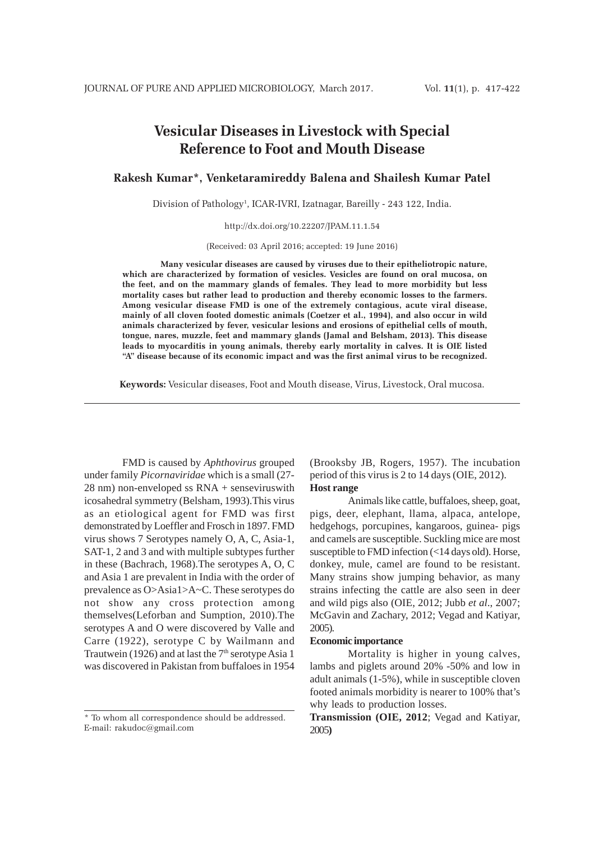# **Vesicular Diseases in Livestock with Special Reference to Foot and Mouth Disease**

**Rakesh Kumar\*, Venketaramireddy Balena and Shailesh Kumar Patel**

Division of Pathology<sup>1</sup>, ICAR-IVRI, Izatnagar, Bareilly - 243 122, India.

http://dx.doi.org/10.22207/JPAM.11.1.54

(Received: 03 April 2016; accepted: 19 June 2016)

**Many vesicular diseases are caused by viruses due to their epitheliotropic nature, which are characterized by formation of vesicles. Vesicles are found on oral mucosa, on the feet, and on the mammary glands of females. They lead to more morbidity but less mortality cases but rather lead to production and thereby economic losses to the farmers. Among vesicular disease FMD is one of the extremely contagious, acute viral disease, mainly of all cloven footed domestic animals (Coetzer et al., 1994), and also occur in wild animals characterized by fever, vesicular lesions and erosions of epithelial cells of mouth, tongue, nares, muzzle, feet and mammary glands (Jamal and Belsham, 2013). This disease leads to myocarditis in young animals, thereby early mortality in calves. It is OIE listed "A" disease because of its economic impact and was the first animal virus to be recognized.**

**Keywords:** Vesicular diseases, Foot and Mouth disease, Virus, Livestock, Oral mucosa.

FMD is caused by *Aphthovirus* grouped under family *Picornaviridae* which is a small (27- 28 nm) non-enveloped ss RNA + senseviruswith icosahedral symmetry (Belsham, 1993).This virus as an etiological agent for FMD was first demonstrated by Loeffler and Frosch in 1897. FMD virus shows 7 Serotypes namely O, A, C, Asia-1, SAT-1, 2 and 3 and with multiple subtypes further in these (Bachrach, 1968).The serotypes A, O, C and Asia 1 are prevalent in India with the order of prevalence as O>Asia1>A~C. These serotypes do not show any cross protection among themselves(Leforban and Sumption, 2010).The serotypes A and O were discovered by Valle and Carre (1922), serotype C by Wailmann and Trautwein (1926) and at last the  $7<sup>th</sup>$  serotype Asia 1 was discovered in Pakistan from buffaloes in 1954

(Brooksby JB, Rogers, 1957). The incubation period of this virus is 2 to 14 days (OIE, 2012). **Host range**

Animals like cattle, buffaloes, sheep, goat, pigs, deer, elephant, llama, alpaca, antelope, hedgehogs, porcupines, kangaroos, guinea- pigs and camels are susceptible. Suckling mice are most susceptible to FMD infection (<14 days old). Horse, donkey, mule, camel are found to be resistant. Many strains show jumping behavior, as many strains infecting the cattle are also seen in deer and wild pigs also (OIE, 2012; Jubb *et al*., 2007; McGavin and Zachary, 2012; Vegad and Katiyar, 2005).

# **Economic importance**

Mortality is higher in young calves, lambs and piglets around 20% -50% and low in adult animals (1-5%), while in susceptible cloven footed animals morbidity is nearer to 100% that's why leads to production losses.

**Transmission (OIE, 2012**; Vegad and Katiyar, 2005**)**

<sup>\*</sup> To whom all correspondence should be addressed. E-mail: rakudoc@gmail.com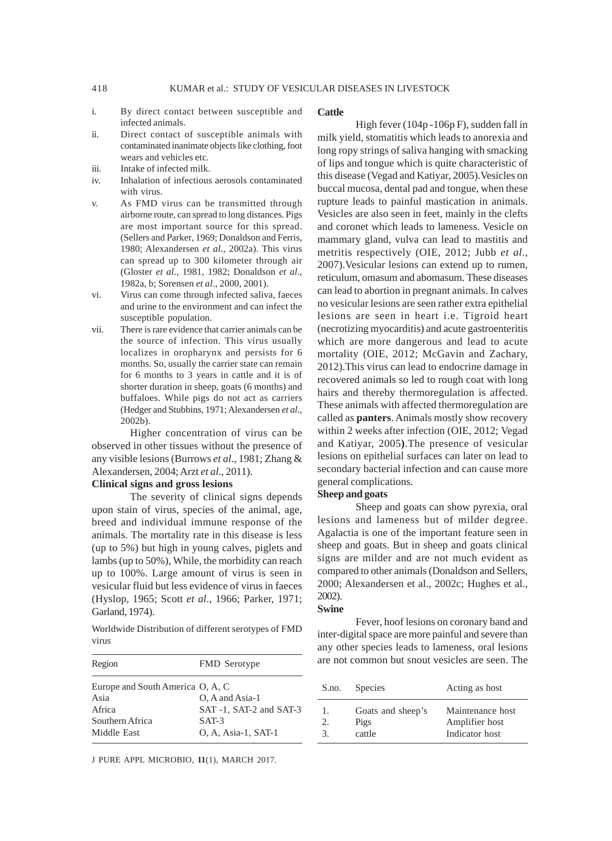- i. By direct contact between susceptible and infected animals.
- ii. Direct contact of susceptible animals with contaminated inanimate objects like clothing, foot wears and vehicles etc.
- iii. Intake of infected milk.
- iv. Inhalation of infectious aerosols contaminated with virus.
- v. As FMD virus can be transmitted through airborne route, can spread to long distances. Pigs are most important source for this spread. (Sellers and Parker, 1969; Donaldson and Ferris, 1980; Alexandersen *et al*., 2002a). This virus can spread up to 300 kilometer through air (Gloster *et al*., 1981, 1982; Donaldson *et al*., 1982a, b; Sorensen *et al*., 2000, 2001).
- vi. Virus can come through infected saliva, faeces and urine to the environment and can infect the susceptible population.
- vii. There is rare evidence that carrier animals can be the source of infection. This virus usually localizes in oropharynx and persists for 6 months. So, usually the carrier state can remain for 6 months to 3 years in cattle and it is of shorter duration in sheep, goats (6 months) and buffaloes. While pigs do not act as carriers (Hedger and Stubbins, 1971; Alexandersen *et al*., 2002b).

Higher concentration of virus can be observed in other tissues without the presence of any visible lesions (Burrows *et al*., 1981; Zhang & Alexandersen, 2004; Arzt *et al*., 2011).

## **Clinical signs and gross lesions**

The severity of clinical signs depends upon stain of virus, species of the animal, age, breed and individual immune response of the animals. The mortality rate in this disease is less (up to 5%) but high in young calves, piglets and lambs (up to 50%), While, the morbidity can reach up to 100%. Large amount of virus is seen in vesicular fluid but less evidence of virus in faeces (Hyslop, 1965; Scott *et al*., 1966; Parker, 1971; Garland, 1974).

Worldwide Distribution of different serotypes of FMD virus

| Region                           | <b>FMD</b> Serotype     |
|----------------------------------|-------------------------|
| Europe and South America O, A, C |                         |
| Asia                             | O, A and Asia-1         |
| Africa                           | SAT -1, SAT-2 and SAT-3 |
| Southern Africa                  | $SAT-3$                 |
| Middle East                      | O, A, Asia-1, SAT-1     |

J PURE APPL MICROBIO*,* **11**(1), MARCH 2017.

## **Cattle**

High fever (104p -106p F), sudden fall in milk yield, stomatitis which leads to anorexia and long ropy strings of saliva hanging with smacking of lips and tongue which is quite characteristic of this disease (Vegad and Katiyar, 2005).Vesicles on buccal mucosa, dental pad and tongue, when these rupture leads to painful mastication in animals. Vesicles are also seen in feet, mainly in the clefts and coronet which leads to lameness. Vesicle on mammary gland, vulva can lead to mastitis and metritis respectively (OIE, 2012; Jubb *et al*., 2007).Vesicular lesions can extend up to rumen, reticulum, omasum and abomasum. These diseases can lead to abortion in pregnant animals. In calves no vesicular lesions are seen rather extra epithelial lesions are seen in heart i.e. Tigroid heart (necrotizing myocarditis) and acute gastroenteritis which are more dangerous and lead to acute mortality (OIE, 2012; McGavin and Zachary, 2012).This virus can lead to endocrine damage in recovered animals so led to rough coat with long hairs and thereby thermoregulation is affected. These animals with affected thermoregulation are called as **panters**. Animals mostly show recovery within 2 weeks after infection (OIE, 2012; Vegad and Katiyar, 2005**)**.The presence of vesicular lesions on epithelial surfaces can later on lead to secondary bacterial infection and can cause more general complications.

# **Sheep and goats**

Sheep and goats can show pyrexia, oral lesions and lameness but of milder degree. Agalactia is one of the important feature seen in sheep and goats. But in sheep and goats clinical signs are milder and are not much evident as compared to other animals (Donaldson and Sellers, 2000; Alexandersen et al., 2002c; Hughes et al., 2002).

### **Swine**

Fever, hoof lesions on coronary band and inter-digital space are more painful and severe than any other species leads to lameness, oral lesions are not common but snout vesicles are seen. The

| S.no. | <b>Species</b>    | Acting as host   |
|-------|-------------------|------------------|
| 1.    | Goats and sheep's | Maintenance host |
| 2.    | Pigs              | Amplifier host   |
| 3.    | cattle            | Indicator host   |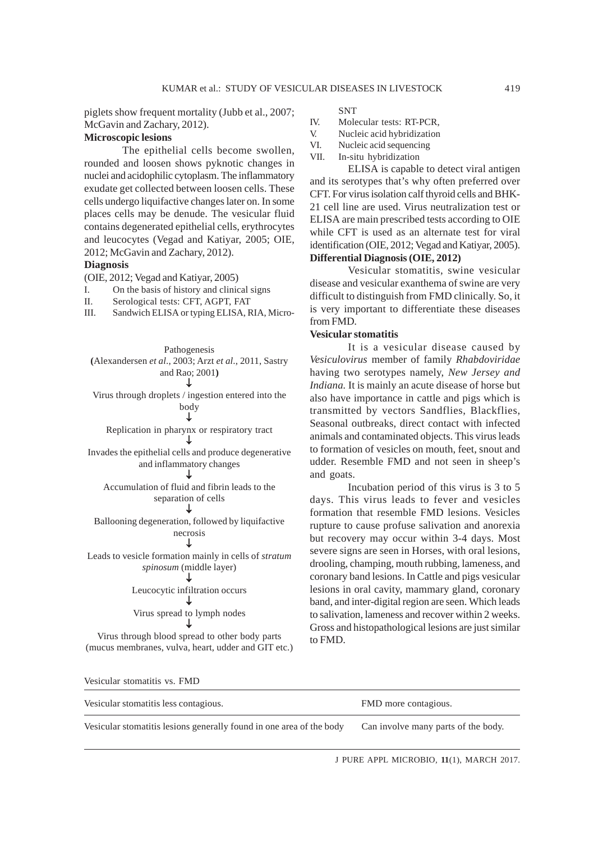piglets show frequent mortality (Jubb et al., 2007; McGavin and Zachary, 2012).

### **Microscopic lesions**

The epithelial cells become swollen, rounded and loosen shows pyknotic changes in nuclei and acidophilic cytoplasm. The inflammatory exudate get collected between loosen cells. These cells undergo liquifactive changes later on. In some places cells may be denude. The vesicular fluid contains degenerated epithelial cells, erythrocytes and leucocytes (Vegad and Katiyar, 2005; OIE, 2012; McGavin and Zachary, 2012).

# **Diagnosis**

(OIE, 2012; Vegad and Katiyar, 2005)

I. On the basis of history and clinical signs

II. Serological tests: CFT, AGPT, FAT

III. Sandwich ELISA or typing ELISA, RIA, Micro-

| Pathogenesis                                                 |
|--------------------------------------------------------------|
| (Alexandersen et al., 2003; Arzt et al., 2011, Sastry        |
| and Rao; 2001)                                               |
|                                                              |
| Virus through droplets / ingestion entered into the          |
| body                                                         |
|                                                              |
| Replication in pharynx or respiratory tract                  |
|                                                              |
| Invades the epithelial cells and produce degenerative        |
| and inflammatory changes                                     |
|                                                              |
| Accumulation of fluid and fibrin leads to the                |
| separation of cells                                          |
|                                                              |
| Ballooning degeneration, followed by liquifactive            |
| necrosis                                                     |
|                                                              |
| Leads to vesicle formation mainly in cells of <i>stratum</i> |
| <i>spinosum</i> (middle layer)                               |
|                                                              |
| Leucocytic infiltration occurs                               |
|                                                              |
| Virus spread to lymph nodes                                  |
|                                                              |
| Virus through blood spread to other body parts               |
| (mucus membranes, vulva, heart, udder and GIT etc.)          |
|                                                              |
|                                                              |

**SNT** 

- IV. Molecular tests: RT-PCR,
- V. Nucleic acid hybridization
- VI. Nucleic acid sequencing
- VII. In-situ hybridization

ELISA is capable to detect viral antigen and its serotypes that's why often preferred over CFT. For virus isolation calf thyroid cells and BHK-21 cell line are used. Virus neutralization test or ELISA are main prescribed tests according to OIE while CFT is used as an alternate test for viral identification (OIE, 2012; Vegad and Katiyar, 2005). **Differential Diagnosis (OIE, 2012)**

Vesicular stomatitis, swine vesicular disease and vesicular exanthema of swine are very difficult to distinguish from FMD clinically. So, it is very important to differentiate these diseases from FMD.

# **Vesicular stomatitis**

It is a vesicular disease caused by *Vesiculovirus* member of family *Rhabdoviridae* having two serotypes namely, *New Jersey and Indiana.* It is mainly an acute disease of horse but also have importance in cattle and pigs which is transmitted by vectors Sandflies, Blackflies, Seasonal outbreaks, direct contact with infected animals and contaminated objects. This virus leads to formation of vesicles on mouth, feet, snout and udder. Resemble FMD and not seen in sheep's and goats.

Incubation period of this virus is 3 to 5 days. This virus leads to fever and vesicles formation that resemble FMD lesions. Vesicles rupture to cause profuse salivation and anorexia but recovery may occur within 3-4 days. Most severe signs are seen in Horses, with oral lesions, drooling, champing, mouth rubbing, lameness, and coronary band lesions. In Cattle and pigs vesicular lesions in oral cavity, mammary gland, coronary band, and inter-digital region are seen. Which leads to salivation, lameness and recover within 2 weeks. Gross and histopathological lesions are just similar to FMD.

Vesicular stomatitis vs. FMD Vesicular stomatitis less contagious. FMD more contagious. Vesicular stomatitis lesions generally found in one area of the body Can involve many parts of the body.

J PURE APPL MICROBIO*,* **11**(1), MARCH 2017.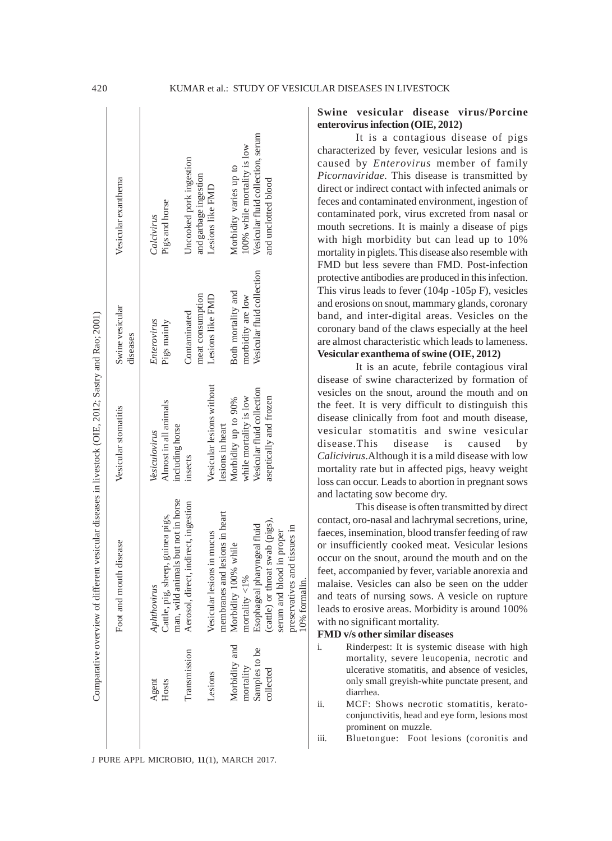|               | Comparative overview of different vesicular diseases in livestock (OIE, 2012; Sastry and Rao; 2001) |                            |                             |                                   |
|---------------|-----------------------------------------------------------------------------------------------------|----------------------------|-----------------------------|-----------------------------------|
|               | Foot and mouth disease                                                                              | Vesicular stomatitis       | Swine vesicular<br>diseases | Vesicular exanthema               |
| Agent         | Aphthovirus                                                                                         | Vesiculovirus              | Enterovirus                 | Calcivirus                        |
| Hosts         | Cattle, pig, sheep, guinea pigs,                                                                    | Almost in all animals      | Pigs mainly                 | Pigs and horse                    |
|               | man, wild animals but not in horse                                                                  | including horse            |                             |                                   |
| Transmission  | Aerosol, direct, indirect, ingestion                                                                | insects                    | Contaminated                | Uncooked pork ingestion           |
|               |                                                                                                     |                            | meat consumption            | and garbage ingestion             |
| Lesions       | Vesicular lesions in mucus                                                                          | Vesicular lesions without  | Lesions like FMD            | Lesions like FMD                  |
|               | membranes and lesions in heart                                                                      | lesions in heart           |                             |                                   |
| Morbidity and | Morbidity 100% while                                                                                | Morbidity up to 90%        | Both mortality and          | Morbidity varies up to            |
| mortality     | mortality $\langle 1\%$                                                                             | while mortality is low     | morbidity are low           | 100% while mortality is low       |
| Samples to be | Esophageal pharyngeal fluid                                                                         | Vesicular fluid collection | Vesicular fluid collection  | Vesicular fluid collection, serum |
| collected     | (cattle) or throat swab (pigs),                                                                     | aseptically and frozen     |                             | and unclotted blood               |
|               | serum and blood in proper                                                                           |                            |                             |                                   |
|               | preservatives and tissues in                                                                        |                            |                             |                                   |
|               | 10% formalin.                                                                                       |                            |                             |                                   |

J PURE APPL MICROBIO*,* **11**(1), MARCH 2017.

# **Swine vesicular disease virus/Porcine enterovirus infection (OIE, 2012)**

It is a contagious disease of pigs characterized by fever, vesicular lesions and is caused by *Enterovirus* member of family *Picornaviridae*. This disease is transmitted by direct or indirect contact with infected animals or feces and contaminated environment, ingestion of contaminated pork, virus excreted from nasal or mouth secretions. It is mainly a disease of pigs with high morbidity but can lead up to 10% mortality in piglets. This disease also resemble with FMD but less severe than FMD. Post-infection protective antibodies are produced in this infection. This virus leads to fever (104p -105p F), vesicles and erosions on snout, mammary glands, coronary band, and inter-digital areas. Vesicles on the coronary band of the claws especially at the heel are almost characteristic which leads to lameness. **Vesicular exanthema of swine (OIE, 2012)**

It is an acute, febrile contagious viral disease of swine characterized by formation of vesicles on the snout, around the mouth and on the feet. It is very difficult to distinguish this disease clinically from foot and mouth disease, vesicular stomatitis and swine vesicular disease.This disease is caused by *Calicivirus*.Although it is a mild disease with low mortality rate but in affected pigs, heavy weight loss can occur. Leads to abortion in pregnant sows and lactating sow become dry.

This disease is often transmitted by direct contact, oro-nasal and lachrymal secretions, urine, faeces, insemination, blood transfer feeding of raw or insufficiently cooked meat. Vesicular lesions occur on the snout, around the mouth and on the feet, accompanied by fever, variable anorexia and malaise. Vesicles can also be seen on the udder and teats of nursing sows. A vesicle on rupture leads to erosive areas. Morbidity is around 100% with no significant mortality.

## **FMD v/s other similar diseases**

- i. Rinderpest: It is systemic disease with high mortality, severe leucopenia, necrotic and ulcerative stomatitis, and absence of vesicles, only small greyish-white punctate present, and diarrhea.
- ii. MCF: Shows necrotic stomatitis, keratoconjunctivitis, head and eye form, lesions most prominent on muzzle.

iii. Bluetongue: Foot lesions (coronitis and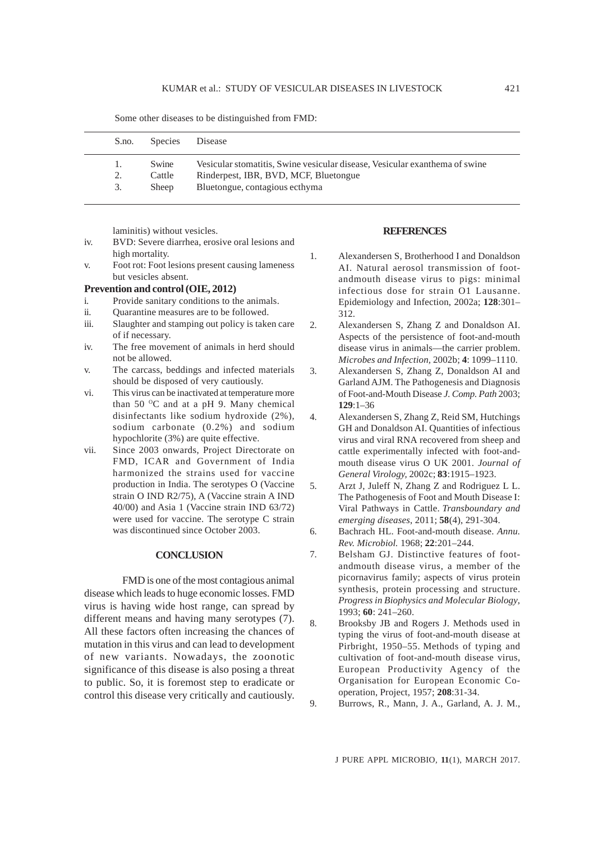| S.no. | Species      | Disease                                                                     |
|-------|--------------|-----------------------------------------------------------------------------|
|       | Swine        | Vesicular stomatitis, Swine vesicular disease, Vesicular exanthema of swine |
| 2.    | Cattle       | Rinderpest, IBR, BVD, MCF, Bluetongue                                       |
| 3.    | <b>Sheep</b> | Bluetongue, contagious ecthyma                                              |

Some other diseases to be distinguished from FMD:

laminitis) without vesicles.

- iv. BVD: Severe diarrhea, erosive oral lesions and high mortality.
- v. Foot rot: Foot lesions present causing lameness but vesicles absent.

# **Prevention and control (OIE, 2012)**

- i. Provide sanitary conditions to the animals.
- ii. Quarantine measures are to be followed.
- iii. Slaughter and stamping out policy is taken care of if necessary.
- iv. The free movement of animals in herd should not be allowed.
- v. The carcass, beddings and infected materials should be disposed of very cautiously.
- vi. This virus can be inactivated at temperature more than 50  $^{\circ}$ C and at a pH 9. Many chemical disinfectants like sodium hydroxide (2%), sodium carbonate (0.2%) and sodium hypochlorite (3%) are quite effective.
- vii. Since 2003 onwards, Project Directorate on FMD, ICAR and Government of India harmonized the strains used for vaccine production in India. The serotypes O (Vaccine strain O IND R2/75), A (Vaccine strain A IND 40/00) and Asia 1 (Vaccine strain IND 63/72) were used for vaccine. The serotype C strain was discontinued since October 2003.

# **CONCLUSION**

FMD is one of the most contagious animal disease which leads to huge economic losses. FMD virus is having wide host range, can spread by different means and having many serotypes (7). All these factors often increasing the chances of mutation in this virus and can lead to development of new variants. Nowadays, the zoonotic significance of this disease is also posing a threat to public. So, it is foremost step to eradicate or control this disease very critically and cautiously.

### **REFERENCES**

- 1. Alexandersen S, Brotherhood I and Donaldson AI. Natural aerosol transmission of footandmouth disease virus to pigs: minimal infectious dose for strain O1 Lausanne. Epidemiology and Infection, 2002a; **128**:301– 312.
- 2. Alexandersen S, Zhang Z and Donaldson AI. Aspects of the persistence of foot-and-mouth disease virus in animals—the carrier problem. *Microbes and Infection,* 2002b; **4**: 1099–1110.
- 3. Alexandersen S, Zhang Z, Donaldson AI and Garland AJM. The Pathogenesis and Diagnosis of Foot-and-Mouth Disease *J. Comp. Path* 2003; **129**:1–36
- 4. Alexandersen S, Zhang Z, Reid SM, Hutchings GH and Donaldson AI. Quantities of infectious virus and viral RNA recovered from sheep and cattle experimentally infected with foot-andmouth disease virus O UK 2001. *Journal of General Virology,* 2002c; **83**:1915–1923.
- 5. Arzt J, Juleff N, Zhang Z and Rodriguez L L. The Pathogenesis of Foot and Mouth Disease I: Viral Pathways in Cattle. *Transboundary and emerging diseases*, 2011; **58**(4), 291-304.
- 6. Bachrach HL. Foot-and-mouth disease. *Annu. Rev. Microbiol.* 1968; **22**:201–244.
- 7. Belsham GJ. Distinctive features of footandmouth disease virus, a member of the picornavirus family; aspects of virus protein synthesis, protein processing and structure. *Progress in Biophysics and Molecular Biology*, 1993; **60**: 241–260.
- 8. Brooksby JB and Rogers J. Methods used in typing the virus of foot-and-mouth disease at Pirbright, 1950–55. Methods of typing and cultivation of foot-and-mouth disease virus, European Productivity Agency of the Organisation for European Economic Cooperation, Project, 1957; **208**:31-34.
- 9. Burrows, R., Mann, J. A., Garland, A. J. M.,

J PURE APPL MICROBIO*,* **11**(1), MARCH 2017.